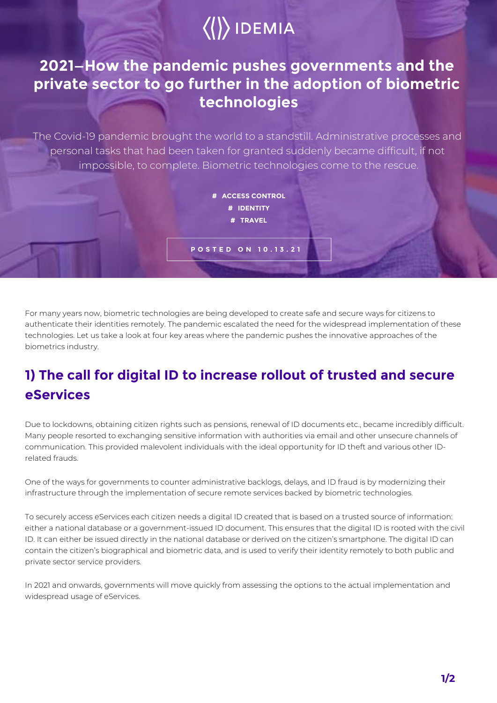# $\langle\langle\rangle\rangle$  IDEMIA

### **2021—How the pandemic pushes governments and the private sector to go further in the adoption of biometric technologies**

The Covid-19 pandemic brought the world to a standstill. Administrative processes and personal tasks that had been taken for granted suddenly became difficult, if not impossible, to complete. Biometric technologies come to the rescue.

> **# ACCESS CONTROL # IDENTITY # TRAVEL**

**POSTED ON 10.13.21**

For many years now, biometric technologies are being developed to create safe and secure ways for citizens to authenticate their identities remotely. The pandemic escalated the need for the widespread implementation of these technologies. Let us take a look at four key areas where the pandemic pushes the innovative approaches of the biometrics industry.

### **1) The call for digital ID to increase rollout of trusted and secure eServices**

Due to lockdowns, obtaining citizen rights such as pensions, renewal of ID documents etc., became incredibly difficult. Many people resorted to exchanging sensitive information with authorities via email and other unsecure channels of communication. This provided malevolent individuals with the ideal opportunity for ID theft and various other IDrelated frauds.

One of the ways for governments to counter administrative backlogs, delays, and ID fraud is by modernizing their infrastructure through the implementation of secure remote services backed by biometric technologies.

To securely access eServices each citizen needs a digital ID created that is based on a trusted source of information: either a national database or a government-issued ID document. This ensures that the digital ID is rooted with the civil ID. It can either be issued directly in the national database or derived on the citizen's smartphone. The digital ID can contain the citizen's biographical and biometric data, and is used to verify their identity remotely to both public and private sector service providers.

In 2021 and onwards, governments will move quickly from assessing the options to the actual implementation and widespread usage of eServices.